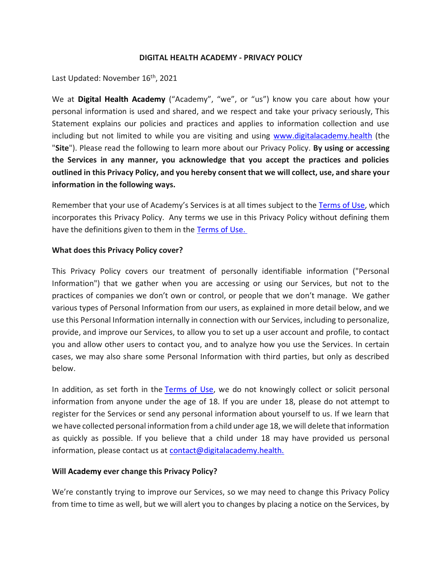#### **DIGITAL HEALTH ACADEMY - PRIVACY POLICY**

Last Updated: November 16<sup>th</sup>, 2021

We at **Digital Health Academy** ("Academy", "we", or "us") know you care about how your personal information is used and shared, and we respect and take your privacy seriously, This Statement explains our policies and practices and applies to information collection and use including but not limited to while you are visiting and using [www.digitalacademy.health](http://www.digitalacademy.health./) (the "**Site**"). Please read the following to learn more about our Privacy Policy. **By using or accessing the Services in any manner, you acknowledge that you accept the practices and policies outlined in this Privacy Policy, and you hereby consent that we will collect, use, and share your information in the following ways.**

Remember that your use of Academy's Services is at all times subject to the [Terms of Use,](/wp-content/uploads/2021/12/Digital-Health-Academy_Terms-of-Service_User-_Final.pdf) which incorporates this Privacy Policy. Any terms we use in this Privacy Policy without defining them have the definitions given to them in the [Terms of Use.](/wp-content/uploads/2021/12/Digital-Health-Academy_Terms-of-Service_User-_Final.pdf)

### **What does this Privacy Policy cover?**

This Privacy Policy covers our treatment of personally identifiable information ("Personal Information") that we gather when you are accessing or using our Services, but not to the practices of companies we don't own or control, or people that we don't manage. We gather various types of Personal Information from our users, as explained in more detail below, and we use this Personal Information internally in connection with our Services, including to personalize, provide, and improve our Services, to allow you to set up a user account and profile, to contact you and allow other users to contact you, and to analyze how you use the Services. In certain cases, we may also share some Personal Information with third parties, but only as described below.

In addition, as set forth in the [Terms of Use,](/wp-content/uploads/2021/12/Digital-Health-Academy_Terms-of-Service_User-_Final.pdf) we do not knowingly collect or solicit personal information from anyone under the age of 18. If you are under 18, please do not attempt to register for the Services or send any personal information about yourself to us. If we learn that we have collected personal information from a child under age 18, we will delete that information as quickly as possible. If you believe that a child under 18 may have provided us personal information, please contact us at [contact@digitalacademy.health.](mailto:contact@digitalacademy.health.)

### **Will Academy ever change this Privacy Policy?**

We're constantly trying to improve our Services, so we may need to change this Privacy Policy from time to time as well, but we will alert you to changes by placing a notice on the Services, by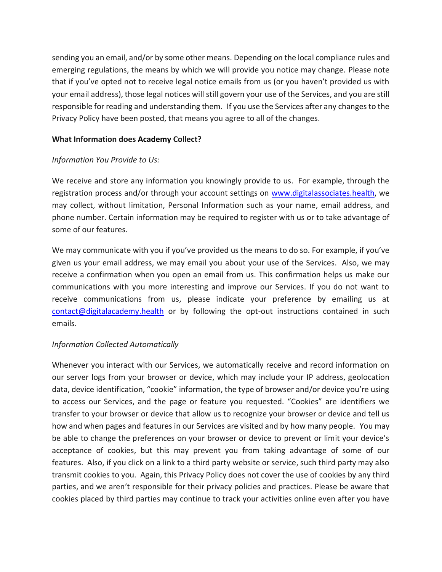sending you an email, and/or by some other means. Depending on the local compliance rules and emerging regulations, the means by which we will provide you notice may change. Please note that if you've opted not to receive legal notice emails from us (or you haven't provided us with your email address), those legal notices will still govern your use of the Services, and you are still responsible for reading and understanding them. If you use the Services after any changes to the Privacy Policy have been posted, that means you agree to all of the changes.

## **What Information does Academy Collect?**

## *Information You Provide to Us:*

We receive and store any information you knowingly provide to us. For example, through the registration process and/or through your account settings on [www.digitalassociates.health,](http://www.digitalassociates.health/) we may collect, without limitation, Personal Information such as your name, email address, and phone number. Certain information may be required to register with us or to take advantage of some of our features.

We may communicate with you if you've provided us the means to do so. For example, if you've given us your email address, we may email you about your use of the Services. Also, we may receive a confirmation when you open an email from us. This confirmation helps us make our communications with you more interesting and improve our Services. If you do not want to receive communications from us, please indicate your preference by emailing us at [contact@digitalacademy.health](mailto:contact@digitalacademy.health) or by following the opt-out instructions contained in such emails.

# *Information Collected Automatically*

Whenever you interact with our Services, we automatically receive and record information on our server logs from your browser or device, which may include your IP address, geolocation data, device identification, "cookie" information, the type of browser and/or device you're using to access our Services, and the page or feature you requested. "Cookies" are identifiers we transfer to your browser or device that allow us to recognize your browser or device and tell us how and when pages and features in our Services are visited and by how many people. You may be able to change the preferences on your browser or device to prevent or limit your device's acceptance of cookies, but this may prevent you from taking advantage of some of our features. Also, if you click on a link to a third party website or service, such third party may also transmit cookies to you. Again, this Privacy Policy does not cover the use of cookies by any third parties, and we aren't responsible for their privacy policies and practices. Please be aware that cookies placed by third parties may continue to track your activities online even after you have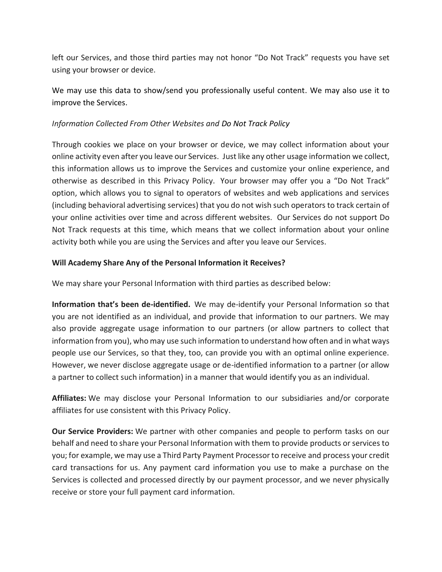left our Services, and those third parties may not honor "Do Not Track" requests you have set using your browser or device.

We may use this data to show/send you professionally useful content. We may also use it to improve the Services.

## *Information Collected From Other Websites and Do Not Track Policy*

Through cookies we place on your browser or device, we may collect information about your online activity even after you leave our Services. Just like any other usage information we collect, this information allows us to improve the Services and customize your online experience, and otherwise as described in this Privacy Policy. Your browser may offer you a "Do Not Track" option, which allows you to signal to operators of websites and web applications and services (including behavioral advertising services) that you do not wish such operators to track certain of your online activities over time and across different websites. Our Services do not support Do Not Track requests at this time, which means that we collect information about your online activity both while you are using the Services and after you leave our Services.

## **Will Academy Share Any of the Personal Information it Receives?**

We may share your Personal Information with third parties as described below:

**Information that's been de-identified.** We may de-identify your Personal Information so that you are not identified as an individual, and provide that information to our partners. We may also provide aggregate usage information to our partners (or allow partners to collect that information from you), who may use such information to understand how often and in what ways people use our Services, so that they, too, can provide you with an optimal online experience. However, we never disclose aggregate usage or de-identified information to a partner (or allow a partner to collect such information) in a manner that would identify you as an individual.

**Affiliates:** We may disclose your Personal Information to our subsidiaries and/or corporate affiliates for use consistent with this Privacy Policy.

**Our Service Providers:** We partner with other companies and people to perform tasks on our behalf and need to share your Personal Information with them to provide products or services to you; for example, we may use a Third Party Payment Processor to receive and process your credit card transactions for us. Any payment card information you use to make a purchase on the Services is collected and processed directly by our payment processor, and we never physically receive or store your full payment card information.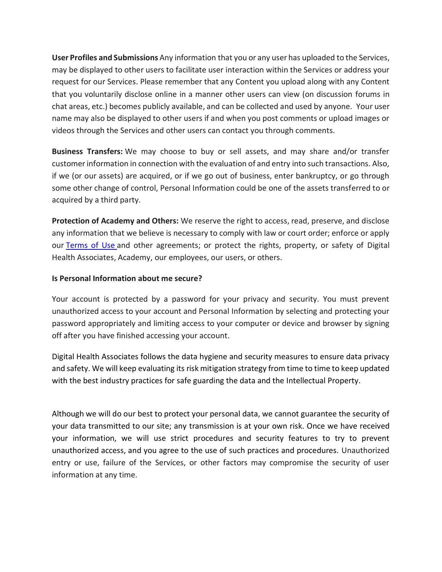**User Profiles and Submissions** Any information that you or any user has uploaded to the Services, may be displayed to other users to facilitate user interaction within the Services or address your request for our Services. Please remember that any Content you upload along with any Content that you voluntarily disclose online in a manner other users can view (on discussion forums in chat areas, etc.) becomes publicly available, and can be collected and used by anyone. Your user name may also be displayed to other users if and when you post comments or upload images or videos through the Services and other users can contact you through comments.

**Business Transfers:** We may choose to buy or sell assets, and may share and/or transfer customer information in connection with the evaluation of and entry into such transactions. Also, if we (or our assets) are acquired, or if we go out of business, enter bankruptcy, or go through some other change of control, Personal Information could be one of the assets transferred to or acquired by a third party.

**Protection of Academy and Others:** We reserve the right to access, read, preserve, and disclose any information that we believe is necessary to comply with law or court order; enforce or apply our [Terms of Use](/wp-content/uploads/2021/12/Digital-Health-Academy_Terms-of-Service_User-_Final.pdf) and other agreements; or protect the rights, property, or safety of Digital Health Associates, Academy, our employees, our users, or others.

## **Is Personal Information about me secure?**

Your account is protected by a password for your privacy and security. You must prevent unauthorized access to your account and Personal Information by selecting and protecting your password appropriately and limiting access to your computer or device and browser by signing off after you have finished accessing your account.

Digital Health Associates follows the data hygiene and security measures to ensure data privacy and safety. We will keep evaluating its risk mitigation strategy from time to time to keep updated with the best industry practices for safe guarding the data and the Intellectual Property.

Although we will do our best to protect your personal data, we cannot guarantee the security of your data transmitted to our site; any transmission is at your own risk. Once we have received your information, we will use strict procedures and security features to try to prevent unauthorized access, and you agree to the use of such practices and procedures. Unauthorized entry or use, failure of the Services, or other factors may compromise the security of user information at any time.